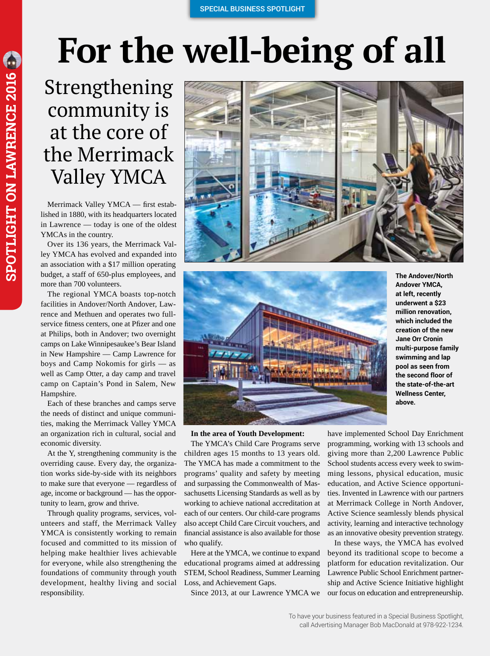## **For the well-being of all**

Strengthening community is at the core of the Merrimack Valley YMCA

Merrimack Valley YMCA — first established in 1880, with its headquarters located in Lawrence — today is one of the oldest YMCAs in the country.

Over its 136 years, the Merrimack Valley YMCA has evolved and expanded into an association with a \$17 million operating budget, a staff of 650-plus employees, and more than 700 volunteers.

The regional YMCA boasts top-notch facilities in Andover/North Andover, Lawrence and Methuen and operates two fullservice fitness centers, one at Pfizer and one at Philips, both in Andover; two overnight camps on Lake Winnipesaukee's Bear Island in New Hampshire — Camp Lawrence for boys and Camp Nokomis for girls — as well as Camp Otter, a day camp and travel camp on Captain's Pond in Salem, New Hampshire.

Each of these branches and camps serve the needs of distinct and unique communities, making the Merrimack Valley YMCA an organization rich in cultural, social and economic diversity.

At the Y, strengthening community is the overriding cause. Every day, the organization works side-by-side with its neighbors to make sure that everyone — regardless of age, income or background — has the opportunity to learn, grow and thrive.

Through quality programs, services, volunteers and staff, the Merrimack Valley YMCA is consistently working to remain focused and committed to its mission of helping make healthier lives achievable for everyone, while also strengthening the foundations of community through youth development, healthy living and social responsibility.





**In the area of Youth Development:**

The YMCA's Child Care Programs serve children ages 15 months to 13 years old. The YMCA has made a commitment to the programs' quality and safety by meeting and surpassing the Commonwealth of Massachusetts Licensing Standards as well as by working to achieve national accreditation at each of our centers. Our child-care programs also accept Child Care Circuit vouchers, and financial assistance is also available for those who qualify.

Here at the YMCA, we continue to expand educational programs aimed at addressing STEM, School Readiness, Summer Learning Loss, and Achievement Gaps.

Since 2013, at our Lawrence YMCA we

**The Andover/North Andover YMCA, at left, recently underwent a \$23 million renovation, which included the creation of the new Jane Orr Cronin multi-purpose family swimming and lap pool as seen from the second floor of the state-of-the-art Wellness Center, above.**

have implemented School Day Enrichment programming, working with 13 schools and giving more than 2,200 Lawrence Public School students access every week to swimming lessons, physical education, music education, and Active Science opportunities. Invented in Lawrence with our partners at Merrimack College in North Andover, Active Science seamlessly blends physical activity, learning and interactive technology as an innovative obesity prevention strategy.

In these ways, the YMCA has evolved beyond its traditional scope to become a platform for education revitalization. Our Lawrence Public School Enrichment partnership and Active Science Initiative highlight our focus on education and entrepreneurship.